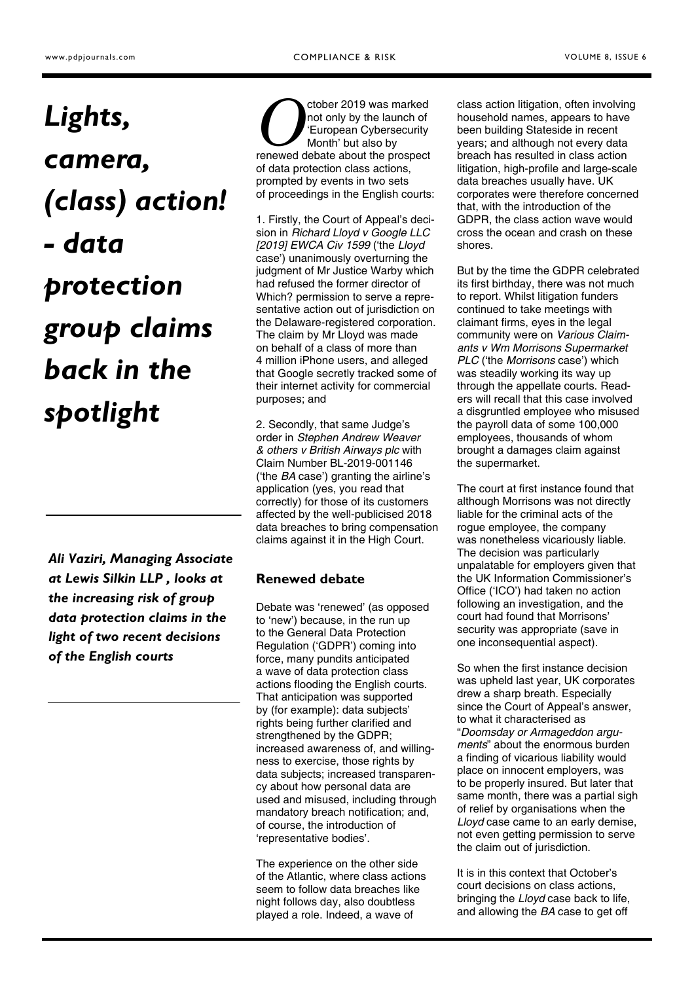# *Lights, camera, (class) action! - data protection group claims back in the spotlight*

*Ali Vaziri, Managing Associate at Lewis Silkin LLP , looks at the increasing risk of group data protection claims in the light of two recent decisions of the English courts* 

*O* ctober 2019 was marked not only by the launch of 'European Cybersecurity Month' but also by renewed debate about the prospect of data protection class actions, prompted by events in two sets of proceedings in the English courts:

1. Firstly, the Court of Appeal's decision in *Richard Lloyd v Google LLC [2019] EWCA Civ 1599* ('the *Lloyd* case') unanimously overturning the judgment of Mr Justice Warby which had refused the former director of Which? permission to serve a representative action out of jurisdiction on the Delaware-registered corporation. The claim by Mr Lloyd was made on behalf of a class of more than 4 million iPhone users, and alleged that Google secretly tracked some of their internet activity for commercial purposes; and

2. Secondly, that same Judge's order in *Stephen Andrew Weaver & others v British Airways plc* with Claim Number BL-2019-001146 ('the *BA* case') granting the airline's application (yes, you read that correctly) for those of its customers affected by the well-publicised 2018 data breaches to bring compensation claims against it in the High Court.

#### **Renewed debate**

Debate was 'renewed' (as opposed to 'new') because, in the run up to the General Data Protection Regulation ('GDPR') coming into force, many pundits anticipated a wave of data protection class actions flooding the English courts. That anticipation was supported by (for example): data subjects' rights being further clarified and strengthened by the GDPR; increased awareness of, and willingness to exercise, those rights by data subjects; increased transparency about how personal data are used and misused, including through mandatory breach notification; and, of course, the introduction of 'representative bodies'.

The experience on the other side of the Atlantic, where class actions seem to follow data breaches like night follows day, also doubtless played a role. Indeed, a wave of

class action litigation, often involving household names, appears to have been building Stateside in recent years; and although not every data breach has resulted in class action litigation, high-profile and large-scale data breaches usually have. UK corporates were therefore concerned that, with the introduction of the GDPR, the class action wave would cross the ocean and crash on these shores.

But by the time the GDPR celebrated its first birthday, there was not much to report. Whilst litigation funders continued to take meetings with claimant firms, eyes in the legal community were on *Various Claimants v Wm Morrisons Supermarket PLC* ('the *Morrisons* case') which was steadily working its way up through the appellate courts. Readers will recall that this case involved a disgruntled employee who misused the payroll data of some 100,000 employees, thousands of whom brought a damages claim against the supermarket.

The court at first instance found that although Morrisons was not directly liable for the criminal acts of the rogue employee, the company was nonetheless vicariously liable. The decision was particularly unpalatable for employers given that the UK Information Commissioner's Office ('ICO') had taken no action following an investigation, and the court had found that Morrisons' security was appropriate (save in one inconsequential aspect).

So when the first instance decision was upheld last year, UK corporates drew a sharp breath. Especially since the Court of Appeal's answer, to what it characterised as "*Doomsday or Armageddon arguments*" about the enormous burden a finding of vicarious liability would place on innocent employers, was to be properly insured. But later that same month, there was a partial sigh of relief by organisations when the *Lloyd* case came to an early demise, not even getting permission to serve the claim out of jurisdiction.

It is in this context that October's court decisions on class actions, bringing the *Lloyd* case back to life, and allowing the *BA* case to get off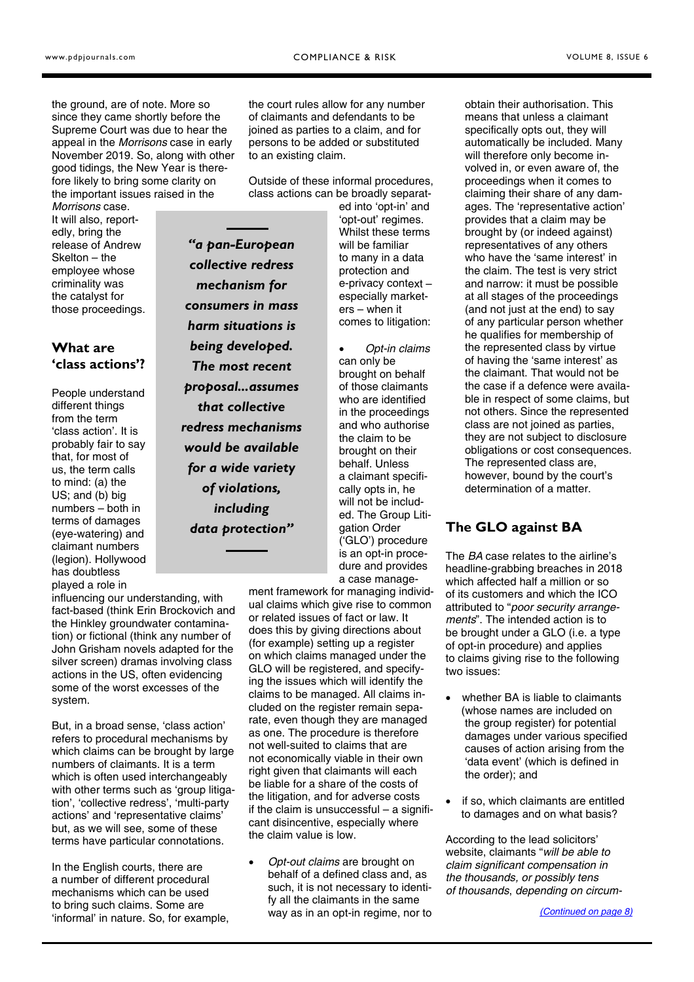the ground, are of note. More so since they came shortly before the Supreme Court was due to hear the appeal in the *Morrisons* case in early November 2019. So, along with other good tidings, the New Year is therefore likely to bring some clarity on the important issues raised in the

*Morrisons* case. It will also, reportedly, bring the release of Andrew Skelton – the employee whose criminality was the catalyst for those proceedings.

## **What are 'class actions'?**

People understand different things from the term 'class action'. It is probably fair to say that, for most of us, the term calls to mind: (a) the US; and (b) big numbers – both in terms of damages (eye-watering) and claimant numbers (legion). Hollywood has doubtless played a role in

influencing our understanding, with fact-based (think Erin Brockovich and the Hinkley groundwater contamination) or fictional (think any number of John Grisham novels adapted for the silver screen) dramas involving class actions in the US, often evidencing some of the worst excesses of the system.

But, in a broad sense, 'class action' refers to procedural mechanisms by which claims can be brought by large numbers of claimants. It is a term which is often used interchangeably with other terms such as 'group litigation', 'collective redress', 'multi-party actions' and 'representative claims' but, as we will see, some of these terms have particular connotations.

In the English courts, there are a number of different procedural mechanisms which can be used to bring such claims. Some are 'informal' in nature. So, for example,

the court rules allow for any number of claimants and defendants to be joined as parties to a claim, and for persons to be added or substituted to an existing claim.

Outside of these informal procedures, class actions can be broadly separat-

*"a pan-European collective redress mechanism for consumers in mass harm situations is being developed. The most recent proposal...assumes that collective redress mechanisms would be available for a wide variety of violations, including data protection"* 

ed into 'opt-in' and 'opt-out' regimes. Whilst these terms will be familiar to many in a data protection and e-privacy context – especially marketers – when it comes to litigation:

 *Opt-in claims* can only be brought on behalf of those claimants who are identified in the proceedings and who authorise the claim to be brought on their behalf. Unless a claimant specifically opts in, he will not be included. The Group Litigation Order ('GLO') procedure is an opt-in procedure and provides a case manage-

ment framework for managing individual claims which give rise to common or related issues of fact or law. It does this by giving directions about (for example) setting up a register on which claims managed under the GLO will be registered, and specifying the issues which will identify the claims to be managed. All claims included on the register remain separate, even though they are managed as one. The procedure is therefore not well-suited to claims that are not economically viable in their own right given that claimants will each be liable for a share of the costs of the litigation, and for adverse costs if the claim is unsuccessful – a significant disincentive, especially where the claim value is low.

 *Opt-out claims* are brought on behalf of a defined class and, as such, it is not necessary to identify all the claimants in the same way as in an opt-in regime, nor to

obtain their authorisation. This means that unless a claimant specifically opts out, they will automatically be included. Many will therefore only become involved in, or even aware of, the proceedings when it comes to claiming their share of any damages. The 'representative action' provides that a claim may be brought by (or indeed against) representatives of any others who have the 'same interest' in the claim. The test is very strict and narrow: it must be possible at all stages of the proceedings (and not just at the end) to say of any particular person whether he qualifies for membership of the represented class by virtue of having the 'same interest' as the claimant. That would not be the case if a defence were available in respect of some claims, but not others. Since the represented class are not joined as parties, they are not subject to disclosure obligations or cost consequences. The represented class are, however, bound by the court's determination of a matter.

# **The GLO against BA**

The *BA* case relates to the airline's headline-grabbing breaches in 2018 which affected half a million or so of its customers and which the ICO attributed to "*poor security arrangements*". The intended action is to be brought under a GLO (i.e. a type of opt-in procedure) and applies to claims giving rise to the following two issues:

- whether BA is liable to claimants (whose names are included on the group register) for potential damages under various specified causes of action arising from the 'data event' (which is defined in the order); and
- if so, which claimants are entitled to damages and on what basis?

According to the lead solicitors' website, claimants "*will be able to claim significant compensation in the thousands, or possibly tens of thousands*, *depending on circum-*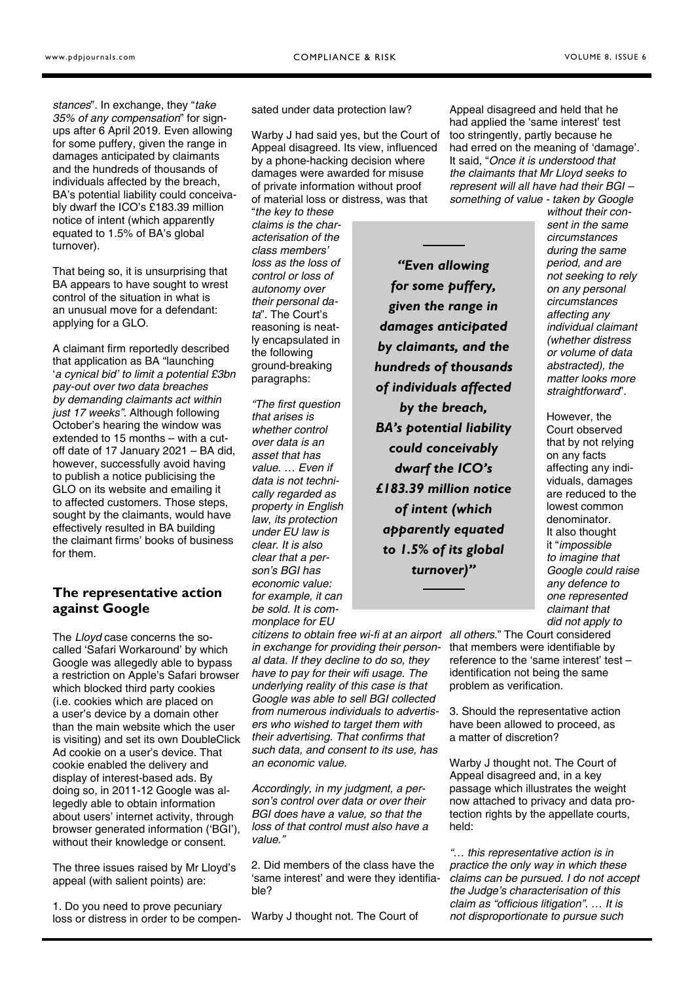<span id="page-2-0"></span>*stances*". In exchange, they "*take 35% of any compensation*" for signups after 6 April 2019. Even allowing for some puffery, given the range in damages anticipated by claimants and the hundreds of thousands of individuals affected by the breach, BA's potential liability could conceivably dwarf the ICO's £183.39 million notice of intent (which apparently equated to 1.5% of BA's global turnover).

That being so, it is unsurprising that BA appears to have sought to wrest control of the situation in what is an unusual move for a defendant: applying for a GLO.

A claimant firm reportedly described that application as BA "launching '*a cynical bid' to limit a potential £3bn pay-out over two data breaches by demanding claimants act within just 17 weeks"*. Although following October's hearing the window was extended to 15 months – with a cutoff date of 17 January 2021 – BA did, however, successfully avoid having to publish a notice publicising the GLO on its website and emailing it to affected customers. Those steps, sought by the claimants, would have effectively resulted in BA building the claimant firms' books of business for them.

#### **The representative action against Google**

The *Lloyd* case concerns the socalled 'Safari Workaround' by which Google was allegedly able to bypass a restriction on Apple's Safari browser which blocked third party cookies (i.e. cookies which are placed on a user's device by a domain other than the main website which the user is visiting) and set its own DoubleClick Ad cookie on a user's device. That cookie enabled the delivery and display of interest-based ads. By doing so, in 2011-12 Google was allegedly able to obtain information about users' internet activity, through browser generated information ('BGI'), without their knowledge or consent.

The three issues raised by Mr Lloyd's appeal (with salient points) are:

1. Do you need to prove pecuniary loss or distress in order to be compensated under data protection law?

Warby J had said yes, but the Court of Appeal disagreed. Its view, influenced by a phone-hacking decision where damages were awarded for misuse of private information without proof of material loss or distress, was that

"*the key to these claims is the characterisation of the class members' loss as the loss of control or loss of autonomy over their personal data*". The Court's reasoning is neatly encapsulated in the following ground-breaking paragraphs:

*"The first question that arises is whether control over data is an asset that has value. … Even if data is not technically regarded as property in English law, its protection under EU law is clear. It is also clear that a person's BGI has economic value: for example, it can be sold. It is commonplace for EU* 

*citizens to obtain free wi-fi at an airport all others*." The Court considered *in exchange for providing their personal data. If they decline to do so, they have to pay for their wifi usage. The underlying reality of this case is that Google was able to sell BGI collected from numerous individuals to advertisers who wished to target them with their advertising. That confirms that such data, and consent to its use, has an economic value.* 

*Accordingly, in my judgment, a person's control over data or over their BGI does have a value, so that the loss of that control must also have a value."* 

2. Did members of the class have the 'same interest' and were they identifiable?

Warby J thought not. The Court of

Appeal disagreed and held that he had applied the 'same interest' test too stringently, partly because he had erred on the meaning of 'damage'. It said, "*Once it is understood that the claimants that Mr Lloyd seeks to represent will all have had their BGI – something of value - taken by Google* 

*"Even allowing for some puffery, given the range in damages anticipated by claimants, and the hundreds of thousands of individuals affected by the breach, BA's potential liability could conceivably dwarf the ICO's £183.39 million notice of intent (which apparently equated to 1.5% of its global turnover)"* 

*without their consent in the same circumstances during the same period, and are not seeking to rely on any personal circumstances affecting any individual claimant (whether distress or volume of data abstracted), the matter looks more straightforward*".

However, the Court observed that by not relying on any facts affecting any individuals, damages are reduced to the lowest common denominator. It also thought it "*impossible to imagine that Google could raise any defence to one represented claimant that did not apply to* 

that members were identifiable by reference to the 'same interest' test – identification not being the same problem as verification.

3. Should the representative action have been allowed to proceed, as a matter of discretion?

Warby J thought not. The Court of Appeal disagreed and, in a key passage which illustrates the weight now attached to privacy and data protection rights by the appellate courts, held:

*"… this representative action is in practice the only way in which these claims can be pursued. I do not accept the Judge's characterisation of this claim as "officious litigation". … It is not disproportionate to pursue such*